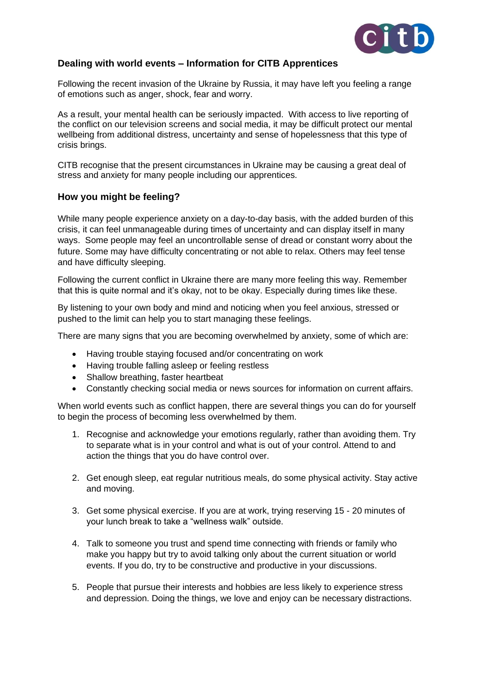

### **Dealing with world events – Information for CITB Apprentices**

Following the recent invasion of the Ukraine by Russia, it may have left you feeling a range of emotions such as anger, shock, fear and worry.

As a result, your mental health can be seriously impacted. With access to live reporting of the conflict on our television screens and social media, it may be difficult protect our mental wellbeing from additional distress, uncertainty and sense of hopelessness that this type of crisis brings.

CITB recognise that the present circumstances in Ukraine may be causing a great deal of stress and anxiety for many people including our apprentices.

#### **How you might be feeling?**

While many people experience anxiety on a day-to-day basis, with the added burden of this crisis, it can feel unmanageable during times of uncertainty and can display itself in many ways. Some people may feel an uncontrollable sense of dread or constant worry about the future. Some may have difficulty concentrating or not able to relax. Others may feel tense and have difficulty sleeping.

Following the current conflict in Ukraine there are many more feeling this way. Remember that this is quite normal and it's okay, not to be okay. Especially during times like these.

By listening to your own body and mind and noticing when you feel anxious, stressed or pushed to the limit can help you to start managing these feelings.

There are many signs that you are becoming overwhelmed by anxiety, some of which are:

- Having trouble staying focused and/or concentrating on work
- Having trouble falling asleep or feeling restless
- Shallow breathing, faster heartbeat
- Constantly checking social media or news sources for information on current affairs.

When world events such as conflict happen, there are several things you can do for yourself to begin the process of becoming less overwhelmed by them.

- 1. Recognise and acknowledge your emotions regularly, rather than avoiding them. Try to separate what is in your control and what is out of your control. Attend to and action the things that you do have control over.
- 2. Get enough sleep, eat regular nutritious meals, do some physical activity. Stay active and moving.
- 3. Get some physical exercise. If you are at work, trying reserving 15 20 minutes of your lunch break to take a "wellness walk" outside.
- 4. Talk to someone you trust and spend time connecting with friends or family who make you happy but try to avoid talking only about the current situation or world events. If you do, try to be constructive and productive in your discussions.
- 5. People that pursue their interests and hobbies are less likely to experience stress and depression. Doing the things, we love and enjoy can be necessary distractions.